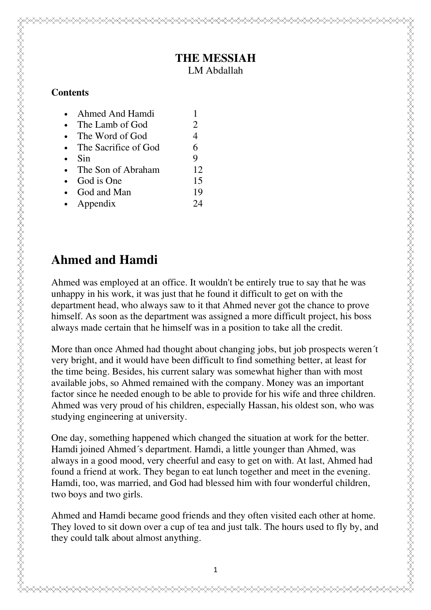## **THE MESSIAH**

LM Abdallah

#### **Contents**

- The Lamb of God 2
- The Word of God 4
- The Sacrifice of God 6
- Sin 9
- The Son of Abraham 12
- God is One 15
- God and Man 19
- Appendix 24

## **Ahmed and Hamdi**

Ahmed was employed at an office. It wouldn't be entirely true to say that he was unhappy in his work, it was just that he found it difficult to get on with the department head, who always saw to it that Ahmed never got the chance to prove himself. As soon as the department was assigned a more difficult project, his boss always made certain that he himself was in a position to take all the credit.

More than once Ahmed had thought about changing jobs, but job prospects weren´t very bright, and it would have been difficult to find something better, at least for the time being. Besides, his current salary was somewhat higher than with most available jobs, so Ahmed remained with the company. Money was an important factor since he needed enough to be able to provide for his wife and three children. Ahmed was very proud of his children, especially Hassan, his oldest son, who was studying engineering at university.

One day, something happened which changed the situation at work for the better. Hamdi joined Ahmed´s department. Hamdi, a little younger than Ahmed, was always in a good mood, very cheerful and easy to get on with. At last, Ahmed had found a friend at work. They began to eat lunch together and meet in the evening. Hamdi, too, was married, and God had blessed him with four wonderful children, two boys and two girls.

Ahmed and Hamdi became good friends and they often visited each other at home. They loved to sit down over a cup of tea and just talk. The hours used to fly by, and they could talk about almost anything.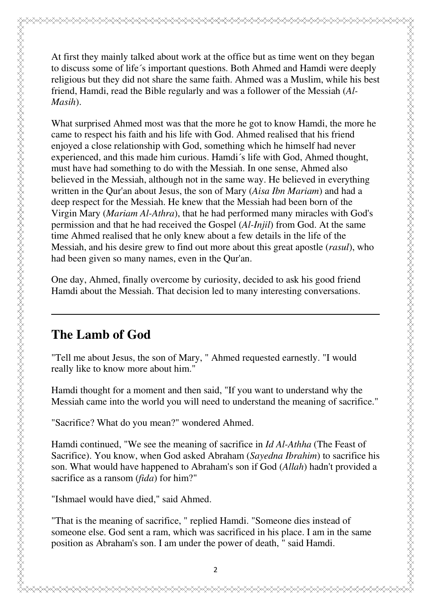At first they mainly talked about work at the office but as time went on they began to discuss some of life´s important questions. Both Ahmed and Hamdi were deeply religious but they did not share the same faith. Ahmed was a Muslim, while his best friend, Hamdi, read the Bible regularly and was a follower of the Messiah (*Al-Masih*).

What surprised Ahmed most was that the more he got to know Hamdi, the more he came to respect his faith and his life with God. Ahmed realised that his friend enjoyed a close relationship with God, something which he himself had never experienced, and this made him curious. Hamdi´s life with God, Ahmed thought, must have had something to do with the Messiah. In one sense, Ahmed also believed in the Messiah, although not in the same way. He believed in everything written in the Qur'an about Jesus, the son of Mary (*Aisa Ibn Mariam*) and had a deep respect for the Messiah. He knew that the Messiah had been born of the Virgin Mary (*Mariam Al-Athra*), that he had performed many miracles with God's permission and that he had received the Gospel (*Al-Injil*) from God. At the same time Ahmed realised that he only knew about a few details in the life of the Messiah, and his desire grew to find out more about this great apostle (*rasul*), who had been given so many names, even in the Qur'an.

One day, Ahmed, finally overcome by curiosity, decided to ask his good friend Hamdi about the Messiah. That decision led to many interesting conversations.

## **The Lamb of God**

"Tell me about Jesus, the son of Mary, " Ahmed requested earnestly. "I would really like to know more about him."

Hamdi thought for a moment and then said, "If you want to understand why the Messiah came into the world you will need to understand the meaning of sacrifice."

"Sacrifice? What do you mean?" wondered Ahmed.

Hamdi continued, "We see the meaning of sacrifice in *Id Al-Athha* (The Feast of Sacrifice). You know, when God asked Abraham (*Sayedna Ibrahim*) to sacrifice his son. What would have happened to Abraham's son if God (*Allah*) hadn't provided a sacrifice as a ransom (*fida*) for him?"

"Ishmael would have died," said Ahmed.

"That is the meaning of sacrifice, " replied Hamdi. "Someone dies instead of someone else. God sent a ram, which was sacrificed in his place. I am in the same position as Abraham's son. I am under the power of death, " said Hamdi.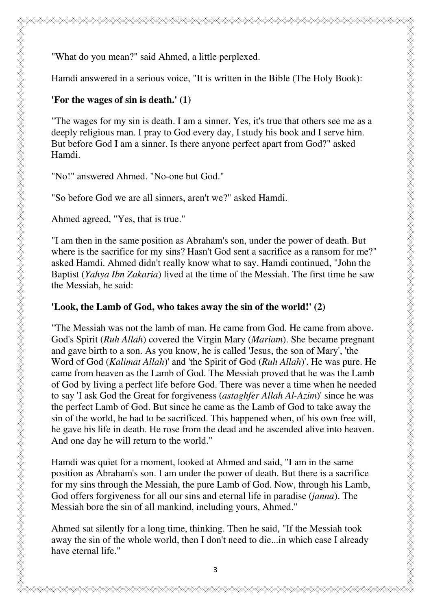"What do you mean?" said Ahmed, a little perplexed.

Hamdi answered in a serious voice, "It is written in the Bible (The Holy Book):

#### **'For the wages of sin is death.' (1)**

"The wages for my sin is death. I am a sinner. Yes, it's true that others see me as a deeply religious man. I pray to God every day, I study his book and I serve him. But before God I am a sinner. Is there anyone perfect apart from God?" asked Hamdi.

"No!" answered Ahmed. "No-one but God."

"So before God we are all sinners, aren't we?" asked Hamdi.

Ahmed agreed, "Yes, that is true."

ZARAZZAN ZANAN ZANAN ZANAN ZANAN ZANAN ZANAN ZANAN ZANAN ZANAN ZANAN ZANAN ZANAN ZANAN ZANAN ZANAN ZANAN ZANAN

"I am then in the same position as Abraham's son, under the power of death. But where is the sacrifice for my sins? Hasn't God sent a sacrifice as a ransom for me?" asked Hamdi. Ahmed didn't really know what to say. Hamdi continued, "John the Baptist (*Yahya Ibn Zakaria*) lived at the time of the Messiah. The first time he saw the Messiah, he said:

#### **'Look, the Lamb of God, who takes away the sin of the world!' (2)**

"The Messiah was not the lamb of man. He came from God. He came from above. God's Spirit (*Ruh Allah*) covered the Virgin Mary (*Mariam*). She became pregnant and gave birth to a son. As you know, he is called 'Jesus, the son of Mary', 'the Word of God (*Kalimat Allah*)' and 'the Spirit of God (*Ruh Allah*)'. He was pure. He came from heaven as the Lamb of God. The Messiah proved that he was the Lamb of God by living a perfect life before God. There was never a time when he needed to say 'I ask God the Great for forgiveness (*astaghfer Allah Al-Azim*)' since he was the perfect Lamb of God. But since he came as the Lamb of God to take away the sin of the world, he had to be sacrificed. This happened when, of his own free will, he gave his life in death. He rose from the dead and he ascended alive into heaven. And one day he will return to the world."

Hamdi was quiet for a moment, looked at Ahmed and said, "I am in the same position as Abraham's son. I am under the power of death. But there is a sacrifice for my sins through the Messiah, the pure Lamb of God. Now, through his Lamb, God offers forgiveness for all our sins and eternal life in paradise (*janna*). The Messiah bore the sin of all mankind, including yours, Ahmed."

Ahmed sat silently for a long time, thinking. Then he said, "If the Messiah took away the sin of the whole world, then I don't need to die...in which case I already have eternal life."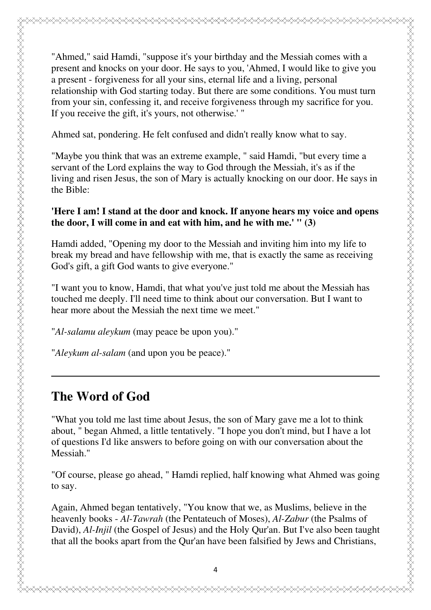"Ahmed," said Hamdi, "suppose it's your birthday and the Messiah comes with a present and knocks on your door. He says to you, 'Ahmed, I would like to give you a present - forgiveness for all your sins, eternal life and a living, personal relationship with God starting today. But there are some conditions. You must turn from your sin, confessing it, and receive forgiveness through my sacrifice for you. If you receive the gift, it's yours, not otherwise.' "

Ahmed sat, pondering. He felt confused and didn't really know what to say.

"Maybe you think that was an extreme example, " said Hamdi, "but every time a servant of the Lord explains the way to God through the Messiah, it's as if the living and risen Jesus, the son of Mary is actually knocking on our door. He says in the Bible:

#### **'Here I am! I stand at the door and knock. If anyone hears my voice and opens the door, I will come in and eat with him, and he with me.' " (3)**

Hamdi added, "Opening my door to the Messiah and inviting him into my life to break my bread and have fellowship with me, that is exactly the same as receiving God's gift, a gift God wants to give everyone."

"I want you to know, Hamdi, that what you've just told me about the Messiah has touched me deeply. I'll need time to think about our conversation. But I want to hear more about the Messiah the next time we meet."

"*Al-salamu aleykum* (may peace be upon you)."

"*Aleykum al-salam* (and upon you be peace)."

### **The Word of God**

"What you told me last time about Jesus, the son of Mary gave me a lot to think about, " began Ahmed, a little tentatively. "I hope you don't mind, but I have a lot of questions I'd like answers to before going on with our conversation about the Messiah."

"Of course, please go ahead, " Hamdi replied, half knowing what Ahmed was going to say.

Again, Ahmed began tentatively, "You know that we, as Muslims, believe in the heavenly books - *Al-Tawrah* (the Pentateuch of Moses), *Al-Zabur* (the Psalms of David), *Al-Injil* (the Gospel of Jesus) and the Holy Qur'an. But I've also been taught that all the books apart from the Qur'an have been falsified by Jews and Christians,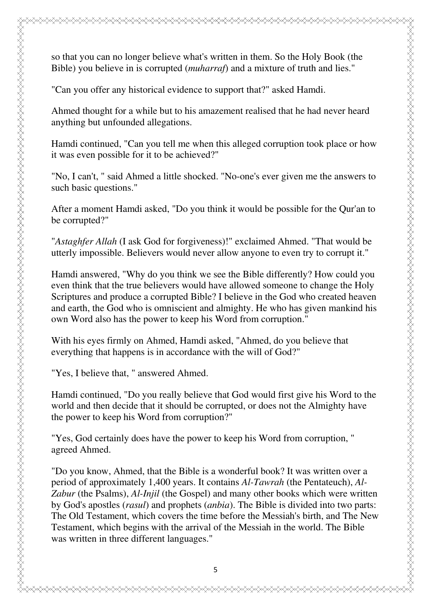so that you can no longer believe what's written in them. So the Holy Book (the Bible) you believe in is corrupted (*muharraf*) and a mixture of truth and lies."

"Can you offer any historical evidence to support that?" asked Hamdi.

Ahmed thought for a while but to his amazement realised that he had never heard anything but unfounded allegations.

Hamdi continued, "Can you tell me when this alleged corruption took place or how it was even possible for it to be achieved?"

"No, I can't, " said Ahmed a little shocked. "No-one's ever given me the answers to such basic questions."

After a moment Hamdi asked, "Do you think it would be possible for the Qur'an to be corrupted?"

"*Astaghfer Allah* (I ask God for forgiveness)!" exclaimed Ahmed. "That would be utterly impossible. Believers would never allow anyone to even try to corrupt it."

Hamdi answered, "Why do you think we see the Bible differently? How could you even think that the true believers would have allowed someone to change the Holy Scriptures and produce a corrupted Bible? I believe in the God who created heaven and earth, the God who is omniscient and almighty. He who has given mankind his own Word also has the power to keep his Word from corruption."

With his eyes firmly on Ahmed, Hamdi asked, "Ahmed, do you believe that everything that happens is in accordance with the will of God?"

"Yes, I believe that, " answered Ahmed.

Hamdi continued, "Do you really believe that God would first give his Word to the world and then decide that it should be corrupted, or does not the Almighty have the power to keep his Word from corruption?"

"Yes, God certainly does have the power to keep his Word from corruption, " agreed Ahmed.

"Do you know, Ahmed, that the Bible is a wonderful book? It was written over a period of approximately 1,400 years. It contains *Al-Tawrah* (the Pentateuch), *Al-Zabur* (the Psalms), *Al-Injil* (the Gospel) and many other books which were written by God's apostles (*rasul*) and prophets (*anbia*). The Bible is divided into two parts: The Old Testament, which covers the time before the Messiah's birth, and The New Testament, which begins with the arrival of the Messiah in the world. The Bible was written in three different languages."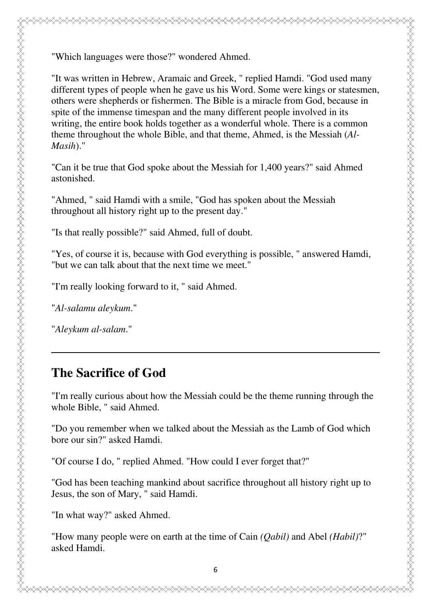"Which languages were those?" wondered Ahmed.

"It was written in Hebrew, Aramaic and Greek, " replied Hamdi. "God used many different types of people when he gave us his Word. Some were kings or statesmen, others were shepherds or fishermen. The Bible is a miracle from God, because in spite of the immense timespan and the many different people involved in its writing, the entire book holds together as a wonderful whole. There is a common theme throughout the whole Bible, and that theme, Ahmed, is the Messiah (*Al-Masih*)."

"Can it be true that God spoke about the Messiah for 1,400 years?" said Ahmed astonished.

"Ahmed, " said Hamdi with a smile, "God has spoken about the Messiah throughout all history right up to the present day."

"Is that really possible?" said Ahmed, full of doubt.

"Yes, of course it is, because with God everything is possible, " answered Hamdi, "but we can talk about that the next time we meet."

"I'm really looking forward to it, " said Ahmed.

"*Al-salamu aleykum*."

ZARAZZAN ZANAN DANAN DANAN DANAN DANAN DANAN DANAN DANAN DANAN DANAN DANAN DANAN DANAN DANAN DANAN DANAN DANAN DANAN DANAN DANAN DANAN DANAN DANAN DANAN DANAN DANAN DANAN DANAN DANAN DANAN DANAN DANAN DANAN DANAN DANAN DAN

"*Aleykum al-salam*."

## **The Sacrifice of God**

"I'm really curious about how the Messiah could be the theme running through the whole Bible, " said Ahmed.

"Do you remember when we talked about the Messiah as the Lamb of God which bore our sin?" asked Hamdi.

"Of course I do, " replied Ahmed. "How could I ever forget that?"

"God has been teaching mankind about sacrifice throughout all history right up to Jesus, the son of Mary, " said Hamdi.

"In what way?" asked Ahmed.

"How many people were on earth at the time of Cain *(Qabil)* and Abel *(Habil)*?" asked Hamdi.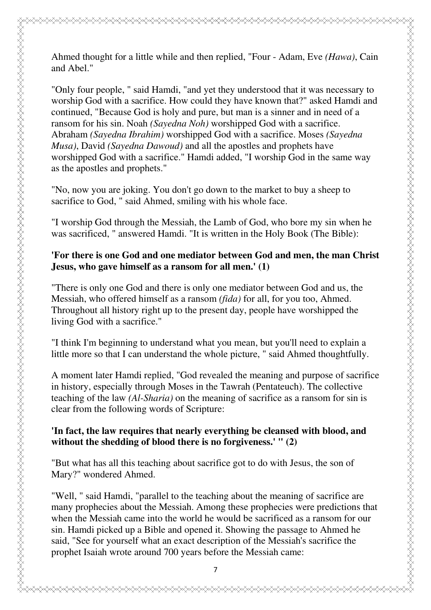Ahmed thought for a little while and then replied, "Four - Adam, Eve *(Hawa)*, Cain and Abel."

"Only four people, " said Hamdi, "and yet they understood that it was necessary to worship God with a sacrifice. How could they have known that?" asked Hamdi and continued, "Because God is holy and pure, but man is a sinner and in need of a ransom for his sin. Noah *(Sayedna Noh)* worshipped God with a sacrifice. Abraham *(Sayedna Ibrahim)* worshipped God with a sacrifice. Moses *(Sayedna Musa)*, David *(Sayedna Dawoud)* and all the apostles and prophets have worshipped God with a sacrifice." Hamdi added, "I worship God in the same way as the apostles and prophets."

"No, now you are joking. You don't go down to the market to buy a sheep to sacrifice to God, " said Ahmed, smiling with his whole face.

"I worship God through the Messiah, the Lamb of God, who bore my sin when he was sacrificed, " answered Hamdi. "It is written in the Holy Book (The Bible):

#### **'For there is one God and one mediator between God and men, the man Christ Jesus, who gave himself as a ransom for all men.' (1)**

"There is only one God and there is only one mediator between God and us, the Messiah, who offered himself as a ransom *(fida)* for all, for you too, Ahmed. Throughout all history right up to the present day, people have worshipped the living God with a sacrifice."

ZARAZZAN ZANAN DANAN DANAN DANAN DANAN DANAN DANAN DANAN DANAN DANAN DANAN DANAN DANAN DANAN DANAN DANAN DANAN DANAN DANAN DANAN DANAN DANAN DANAN DANAN DANAN DANAN DANAN DANAN DANAN DANAN DANAN DANAN DANAN DANAN DANAN DAN

"I think I'm beginning to understand what you mean, but you'll need to explain a little more so that I can understand the whole picture, " said Ahmed thoughtfully.

A moment later Hamdi replied, "God revealed the meaning and purpose of sacrifice in history, especially through Moses in the Tawrah (Pentateuch). The collective teaching of the law *(Al-Sharia)* on the meaning of sacrifice as a ransom for sin is clear from the following words of Scripture:

#### **'In fact, the law requires that nearly everything be cleansed with blood, and without the shedding of blood there is no forgiveness.' " (2)**

"But what has all this teaching about sacrifice got to do with Jesus, the son of Mary?" wondered Ahmed.

"Well, " said Hamdi, "parallel to the teaching about the meaning of sacrifice are many prophecies about the Messiah. Among these prophecies were predictions that when the Messiah came into the world he would be sacrificed as a ransom for our sin. Hamdi picked up a Bible and opened it. Showing the passage to Ahmed he said, "See for yourself what an exact description of the Messiah's sacrifice the prophet Isaiah wrote around 700 years before the Messiah came: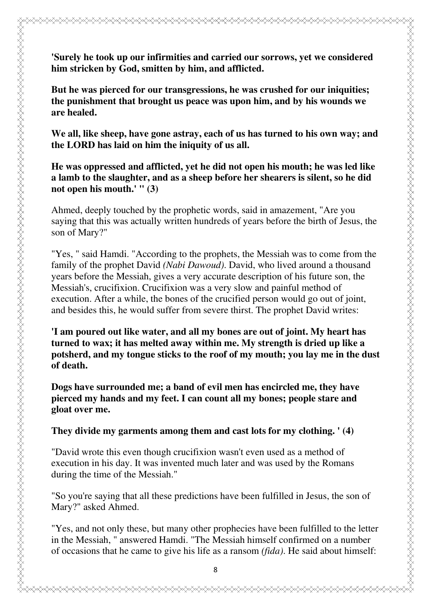**'Surely he took up our infirmities and carried our sorrows, yet we considered him stricken by God, smitten by him, and afflicted. But he was pierced for our transgressions, he was crushed for our iniquities; the punishment that brought us peace was upon him, and by his wounds we are healed. We all, like sheep, have gone astray, each of us has turned to his own way; and the LORD has laid on him the iniquity of us all. He was oppressed and afflicted, yet he did not open his mouth; he was led like a lamb to the slaughter, and as a sheep before her shearers is silent, so he did not open his mouth.' " (3)**

g<br>A

Ahmed, deeply touched by the prophetic words, said in amazement, "Are you saying that this was actually written hundreds of years before the birth of Jesus, the son of Mary?"

"Yes, " said Hamdi. "According to the prophets, the Messiah was to come from the family of the prophet David *(Nabi Dawoud)*. David, who lived around a thousand years before the Messiah, gives a very accurate description of his future son, the Messiah's, crucifixion. Crucifixion was a very slow and painful method of execution. After a while, the bones of the crucified person would go out of joint, and besides this, he would suffer from severe thirst. The prophet David writes:

**'I am poured out like water, and all my bones are out of joint. My heart has turned to wax; it has melted away within me. My strength is dried up like a potsherd, and my tongue sticks to the roof of my mouth; you lay me in the dust of death.**

**Dogs have surrounded me; a band of evil men has encircled me, they have pierced my hands and my feet. I can count all my bones; people stare and gloat over me.** 

**They divide my garments among them and cast lots for my clothing. ' (4)**

"David wrote this even though crucifixion wasn't even used as a method of execution in his day. It was invented much later and was used by the Romans during the time of the Messiah."

"So you're saying that all these predictions have been fulfilled in Jesus, the son of Mary?" asked Ahmed.

"Yes, and not only these, but many other prophecies have been fulfilled to the letter in the Messiah, " answered Hamdi. "The Messiah himself confirmed on a number of occasions that he came to give his life as a ransom *(fida)*. He said about himself: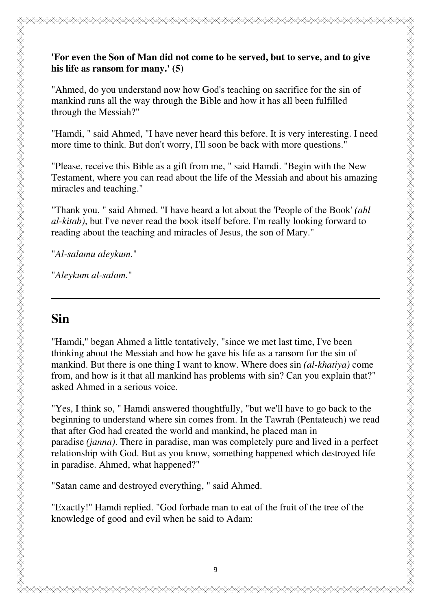#### **'For even the Son of Man did not come to be served, but to serve, and to give his life as ransom for many.' (5)**

"Ahmed, do you understand now how God's teaching on sacrifice for the sin of mankind runs all the way through the Bible and how it has all been fulfilled through the Messiah?"

"Hamdi, " said Ahmed, "I have never heard this before. It is very interesting. I need more time to think. But don't worry, I'll soon be back with more questions."

"Please, receive this Bible as a gift from me, " said Hamdi. "Begin with the New Testament, where you can read about the life of the Messiah and about his amazing miracles and teaching."

"Thank you, " said Ahmed. "I have heard a lot about the 'People of the Book' *(ahl al-kitab)*, but I've never read the book itself before. I'm really looking forward to reading about the teaching and miracles of Jesus, the son of Mary."

"*Al-salamu aleykum.*"

"*Aleykum al-salam.*"

## **Sin**

ZARAZZAN ZANAN DANAN DANAN DANAN DANAN DANAN DANAN DANAN DANAN DANAN DANAN DANAN DANAN DANAN DANAN DANAN DANAN DANAN DANAN DANAN DANAN DANAN DANAN DANAN DANAN DANAN DANAN DANAN DANAN DANAN DANAN DANAN DANAN DANAN DANAN DAN

"Hamdi," began Ahmed a little tentatively, "since we met last time, I've been thinking about the Messiah and how he gave his life as a ransom for the sin of mankind. But there is one thing I want to know. Where does sin *(al-khatiya)* come from, and how is it that all mankind has problems with sin? Can you explain that?" asked Ahmed in a serious voice.

"Yes, I think so, " Hamdi answered thoughtfully, "but we'll have to go back to the beginning to understand where sin comes from. In the Tawrah (Pentateuch) we read that after God had created the world and mankind, he placed man in paradise *(janna)*. There in paradise, man was completely pure and lived in a perfect relationship with God. But as you know, something happened which destroyed life in paradise. Ahmed, what happened?"

"Satan came and destroyed everything, " said Ahmed.

"Exactly!" Hamdi replied. "God forbade man to eat of the fruit of the tree of the knowledge of good and evil when he said to Adam: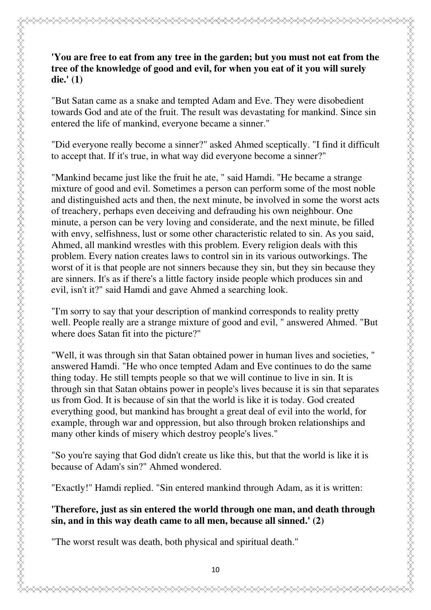### **'You are free to eat from any tree in the garden; but you must not eat from the tree of the knowledge of good and evil, for when you eat of it you will surely die.' (1)**

"But Satan came as a snake and tempted Adam and Eve. They were disobedient towards God and ate of the fruit. The result was devastating for mankind. Since sin entered the life of mankind, everyone became a sinner."

"Did everyone really become a sinner?" asked Ahmed sceptically. "I find it difficult to accept that. If it's true, in what way did everyone become a sinner?"

"Mankind became just like the fruit he ate, " said Hamdi. "He became a strange mixture of good and evil. Sometimes a person can perform some of the most noble and distinguished acts and then, the next minute, be involved in some the worst acts of treachery, perhaps even deceiving and defrauding his own neighbour. One minute, a person can be very loving and considerate, and the next minute, be filled with envy, selfishness, lust or some other characteristic related to sin. As you said, Ahmed, all mankind wrestles with this problem. Every religion deals with this problem. Every nation creates laws to control sin in its various outworkings. The worst of it is that people are not sinners because they sin, but they sin because they are sinners. It's as if there's a little factory inside people which produces sin and evil, isn't it?" said Hamdi and gave Ahmed a searching look.

"I'm sorry to say that your description of mankind corresponds to reality pretty well. People really are a strange mixture of good and evil, " answered Ahmed. "But where does Satan fit into the picture?"

ZARAZZAN ZANAN DANAN DANAN DANAN DANAN DANAN DANAN DANAN DANAN DANAN DANAN DANAN DANAN DANAN DANAN DANAN DANAN DANAN DANAN DANAN DANAN DANAN DANAN DANAN DANAN DANAN DANAN DANAN DANAN DANAN DANAN DANAN DANAN DANAN DANAN DAN

"Well, it was through sin that Satan obtained power in human lives and societies, " answered Hamdi. "He who once tempted Adam and Eve continues to do the same thing today. He still tempts people so that we will continue to live in sin. It is through sin that Satan obtains power in people's lives because it is sin that separates us from God. It is because of sin that the world is like it is today. God created everything good, but mankind has brought a great deal of evil into the world, for example, through war and oppression, but also through broken relationships and many other kinds of misery which destroy people's lives."

"So you're saying that God didn't create us like this, but that the world is like it is because of Adam's sin?" Ahmed wondered.

"Exactly!" Hamdi replied. "Sin entered mankind through Adam, as it is written:

#### **'Therefore, just as sin entered the world through one man, and death through sin, and in this way death came to all men, because all sinned.' (2)**

"The worst result was death, both physical and spiritual death."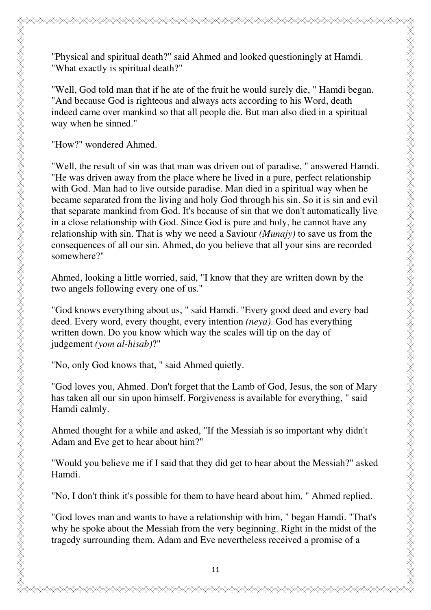"Physical and spiritual death?" said Ahmed and looked questioningly at Hamdi. "What exactly is spiritual death?"

"Well, God told man that if he ate of the fruit he would surely die, " Hamdi began. "And because God is righteous and always acts according to his Word, death indeed came over mankind so that all people die. But man also died in a spiritual way when he sinned."

"How?" wondered Ahmed.

ZARAZZAN ZANAN DANAN DANAN DANAN DANAN DANAN DANAN DANAN DANAN DANAN DANAN DANAN DANAN DANAN DANAN DANAN DANAN DANAN DANAN DANAN DANAN DANAN DANAN DANAN DANAN DANAN DANAN DANAN DANAN DANAN DANAN DANAN DANAN DANAN DANAN DAN

"Well, the result of sin was that man was driven out of paradise, " answered Hamdi. "He was driven away from the place where he lived in a pure, perfect relationship with God. Man had to live outside paradise. Man died in a spiritual way when he became separated from the living and holy God through his sin. So it is sin and evil that separate mankind from God. It's because of sin that we don't automatically live in a close relationship with God. Since God is pure and holy, he cannot have any relationship with sin. That is why we need a Saviour *(Munajy)* to save us from the consequences of all our sin. Ahmed, do you believe that all your sins are recorded somewhere?"

Ahmed, looking a little worried, said, "I know that they are written down by the two angels following every one of us."

"God knows everything about us, " said Hamdi. "Every good deed and every bad deed. Every word, every thought, every intention *(neya)*. God has everything written down. Do you know which way the scales will tip on the day of judgement *(yom al-hisab)*?"

"No, only God knows that, " said Ahmed quietly.

"God loves you, Ahmed. Don't forget that the Lamb of God, Jesus, the son of Mary has taken all our sin upon himself. Forgiveness is available for everything, " said Hamdi calmly.

Ahmed thought for a while and asked, "If the Messiah is so important why didn't Adam and Eve get to hear about him?"

"Would you believe me if I said that they did get to hear about the Messiah?" asked Hamdi.

"No, I don't think it's possible for them to have heard about him, " Ahmed replied.

"God loves man and wants to have a relationship with him, " began Hamdi. "That's why he spoke about the Messiah from the very beginning. Right in the midst of the tragedy surrounding them, Adam and Eve nevertheless received a promise of a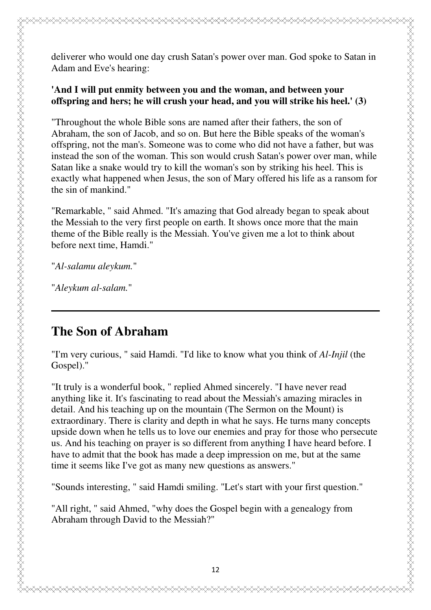deliverer who would one day crush Satan's power over man. God spoke to Satan in Adam and Eve's hearing:

#### **'And I will put enmity between you and the woman, and between your offspring and hers; he will crush your head, and you will strike his heel.' (3)**

"Throughout the whole Bible sons are named after their fathers, the son of Abraham, the son of Jacob, and so on. But here the Bible speaks of the woman's offspring, not the man's. Someone was to come who did not have a father, but was instead the son of the woman. This son would crush Satan's power over man, while Satan like a snake would try to kill the woman's son by striking his heel. This is exactly what happened when Jesus, the son of Mary offered his life as a ransom for the sin of mankind."

"Remarkable, " said Ahmed. "It's amazing that God already began to speak about the Messiah to the very first people on earth. It shows once more that the main theme of the Bible really is the Messiah. You've given me a lot to think about before next time, Hamdi."

"*Al-salamu aleykum.*"

"*Aleykum al-salam.*"

## **The Son of Abraham**

"I'm very curious, " said Hamdi. "I'd like to know what you think of *Al-Injil* (the Gospel)."

"It truly is a wonderful book, " replied Ahmed sincerely. "I have never read anything like it. It's fascinating to read about the Messiah's amazing miracles in detail. And his teaching up on the mountain (The Sermon on the Mount) is extraordinary. There is clarity and depth in what he says. He turns many concepts upside down when he tells us to love our enemies and pray for those who persecute us. And his teaching on prayer is so different from anything I have heard before. I have to admit that the book has made a deep impression on me, but at the same time it seems like I've got as many new questions as answers."

"Sounds interesting, " said Hamdi smiling. "Let's start with your first question."

"All right, " said Ahmed, "why does the Gospel begin with a genealogy from Abraham through David to the Messiah?"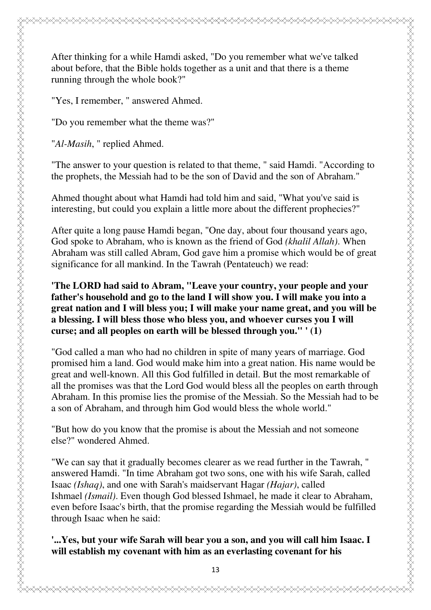After thinking for a while Hamdi asked, "Do you remember what we've talked about before, that the Bible holds together as a unit and that there is a theme running through the whole book?"

"Yes, I remember, " answered Ahmed.

"Do you remember what the theme was?"

"*Al-Masih*, " replied Ahmed.

"The answer to your question is related to that theme, " said Hamdi. "According to the prophets, the Messiah had to be the son of David and the son of Abraham."

Ahmed thought about what Hamdi had told him and said, "What you've said is interesting, but could you explain a little more about the different prophecies?"

After quite a long pause Hamdi began, "One day, about four thousand years ago, God spoke to Abraham, who is known as the friend of God *(khalil Allah)*. When Abraham was still called Abram, God gave him a promise which would be of great significance for all mankind. In the Tawrah (Pentateuch) we read:

#### **'The LORD had said to Abram, "Leave your country, your people and your father's household and go to the land I will show you. I will make you into a great nation and I will bless you; I will make your name great, and you will be a blessing. I will bless those who bless you, and whoever curses you I will curse; and all peoples on earth will be blessed through you." ' (1)**

"God called a man who had no children in spite of many years of marriage. God promised him a land. God would make him into a great nation. His name would be great and well-known. All this God fulfilled in detail. But the most remarkable of all the promises was that the Lord God would bless all the peoples on earth through Abraham. In this promise lies the promise of the Messiah. So the Messiah had to be a son of Abraham, and through him God would bless the whole world."

"But how do you know that the promise is about the Messiah and not someone else?" wondered Ahmed.

"We can say that it gradually becomes clearer as we read further in the Tawrah, " answered Hamdi. "In time Abraham got two sons, one with his wife Sarah, called Isaac *(Ishaq)*, and one with Sarah's maidservant Hagar *(Hajar)*, called Ishmael *(Ismail)*. Even though God blessed Ishmael, he made it clear to Abraham, even before Isaac's birth, that the promise regarding the Messiah would be fulfilled through Isaac when he said:

#### **'...Yes, but your wife Sarah will bear you a son, and you will call him Isaac. I will establish my covenant with him as an everlasting covenant for his**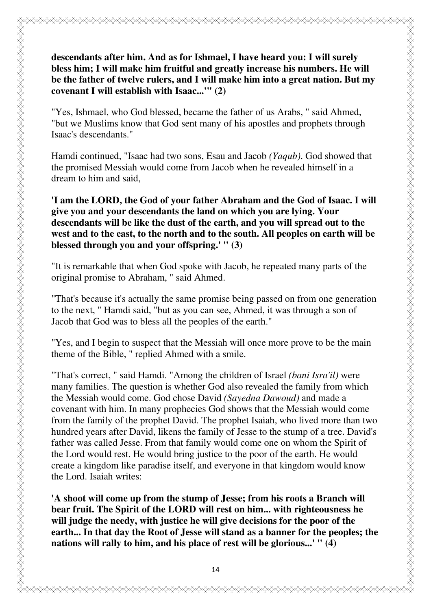## **descendants after him. And as for Ishmael, I have heard you: I will surely bless him; I will make him fruitful and greatly increase his numbers. He will be the father of twelve rulers, and I will make him into a great nation. But my covenant I will establish with Isaac...'" (2)**

"Yes, Ishmael, who God blessed, became the father of us Arabs, " said Ahmed, "but we Muslims know that God sent many of his apostles and prophets through Isaac's descendants."

Hamdi continued, "Isaac had two sons, Esau and Jacob *(Yaqub)*. God showed that the promised Messiah would come from Jacob when he revealed himself in a dream to him and said,

**'I am the LORD, the God of your father Abraham and the God of Isaac. I will give you and your descendants the land on which you are lying. Your descendants will be like the dust of the earth, and you will spread out to the west and to the east, to the north and to the south. All peoples on earth will be blessed through you and your offspring.' " (3)**

"It is remarkable that when God spoke with Jacob, he repeated many parts of the original promise to Abraham, " said Ahmed.

"That's because it's actually the same promise being passed on from one generation to the next, " Hamdi said, "but as you can see, Ahmed, it was through a son of Jacob that God was to bless all the peoples of the earth."

"Yes, and I begin to suspect that the Messiah will once more prove to be the main theme of the Bible, " replied Ahmed with a smile.

"That's correct, " said Hamdi. "Among the children of Israel *(bani Isra'il)* were many families. The question is whether God also revealed the family from which the Messiah would come. God chose David *(Sayedna Dawoud)* and made a covenant with him. In many prophecies God shows that the Messiah would come from the family of the prophet David. The prophet Isaiah, who lived more than two hundred years after David, likens the family of Jesse to the stump of a tree. David's father was called Jesse. From that family would come one on whom the Spirit of the Lord would rest. He would bring justice to the poor of the earth. He would create a kingdom like paradise itself, and everyone in that kingdom would know the Lord. Isaiah writes:

**'A shoot will come up from the stump of Jesse; from his roots a Branch will bear fruit. The Spirit of the LORD will rest on him... with righteousness he will judge the needy, with justice he will give decisions for the poor of the earth... In that day the Root of Jesse will stand as a banner for the peoples; the nations will rally to him, and his place of rest will be glorious...' " (4)**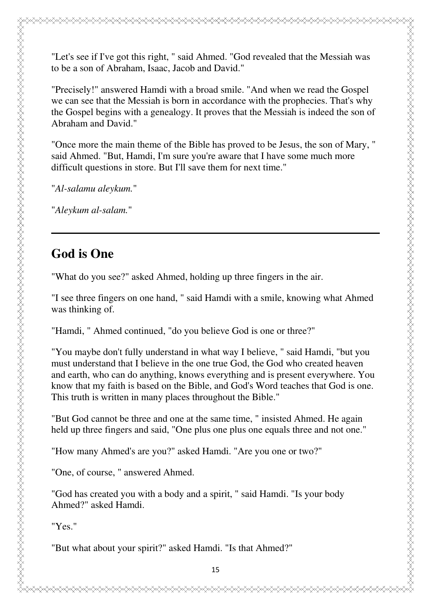"Let's see if I've got this right, " said Ahmed. "God revealed that the Messiah was to be a son of Abraham, Isaac, Jacob and David."

"Precisely!" answered Hamdi with a broad smile. "And when we read the Gospel we can see that the Messiah is born in accordance with the prophecies. That's why the Gospel begins with a genealogy. It proves that the Messiah is indeed the son of Abraham and David."

"Once more the main theme of the Bible has proved to be Jesus, the son of Mary, " said Ahmed. "But, Hamdi, I'm sure you're aware that I have some much more difficult questions in store. But I'll save them for next time."

"*Al-salamu aleykum.*"

"*Aleykum al-salam.*"

## **God is One**

ZARAZZAN ZANAN ANDAN ANDAN ANDAN ANDAN ANDAN ANDAN ANDAN ANDAN ANDAN ANDAN ANDAN ANDAN ANDAN ANDAN ANDAN ANDAN

"What do you see?" asked Ahmed, holding up three fingers in the air.

"I see three fingers on one hand, " said Hamdi with a smile, knowing what Ahmed was thinking of.

"Hamdi, " Ahmed continued, "do you believe God is one or three?"

"You maybe don't fully understand in what way I believe, " said Hamdi, "but you must understand that I believe in the one true God, the God who created heaven and earth, who can do anything, knows everything and is present everywhere. You know that my faith is based on the Bible, and God's Word teaches that God is one. This truth is written in many places throughout the Bible."

"But God cannot be three and one at the same time, " insisted Ahmed. He again held up three fingers and said, "One plus one plus one equals three and not one."

"How many Ahmed's are you?" asked Hamdi. "Are you one or two?"

"One, of course, " answered Ahmed.

"God has created you with a body and a spirit, " said Hamdi. "Is your body Ahmed?" asked Hamdi.

"Yes."

"But what about your spirit?" asked Hamdi. "Is that Ahmed?"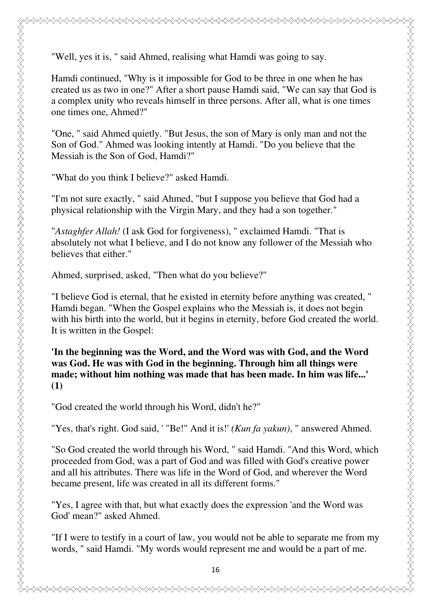"Well, yes it is, " said Ahmed, realising what Hamdi was going to say.

Hamdi continued, "Why is it impossible for God to be three in one when he has created us as two in one?" After a short pause Hamdi said, "We can say that God is a complex unity who reveals himself in three persons. After all, what is one times one times one, Ahmed?"

"One, " said Ahmed quietly. "But Jesus, the son of Mary is only man and not the Son of God." Ahmed was looking intently at Hamdi. "Do you believe that the Messiah is the Son of God, Hamdi?"

"What do you think I believe?" asked Hamdi.

"I'm not sure exactly, " said Ahmed, "but I suppose you believe that God had a physical relationship with the Virgin Mary, and they had a son together."

"*Astaghfer Allah!* (I ask God for forgiveness), " exclaimed Hamdi. "That is absolutely not what I believe, and I do not know any follower of the Messiah who believes that either."

Ahmed, surprised, asked, "Then what do you believe?"

"I believe God is eternal, that he existed in eternity before anything was created, " Hamdi began. "When the Gospel explains who the Messiah is, it does not begin with his birth into the world, but it begins in eternity, before God created the world. It is written in the Gospel:

**'In the beginning was the Word, and the Word was with God, and the Word was God. He was with God in the beginning. Through him all things were made; without him nothing was made that has been made. In him was life...' (1)**

"God created the world through his Word, didn't he?"

"Yes, that's right. God said, ' "Be!" And it is!' *(Kun fa yakun)*, " answered Ahmed.

"So God created the world through his Word, " said Hamdi. "And this Word, which proceeded from God, was a part of God and was filled with God's creative power and all his attributes. There was life in the Word of God, and wherever the Word became present, life was created in all its different forms."

"Yes, I agree with that, but what exactly does the expression 'and the Word was God' mean?" asked Ahmed.

"If I were to testify in a court of law, you would not be able to separate me from my words, " said Hamdi. "My words would represent me and would be a part of me.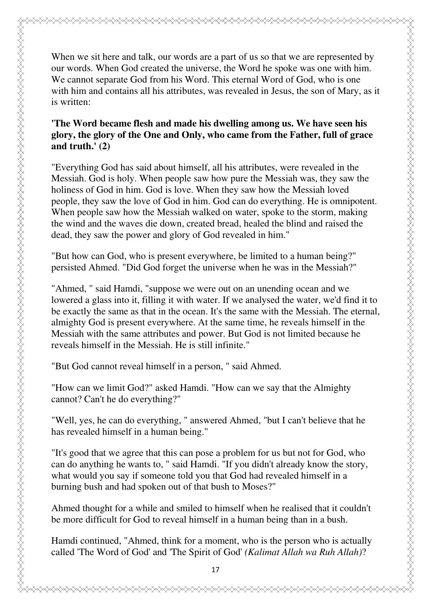When we sit here and talk, our words are a part of us so that we are represented by our words. When God created the universe, the Word he spoke was one with him. We cannot separate God from his Word. This eternal Word of God, who is one with him and contains all his attributes, was revealed in Jesus, the son of Mary, as it is written:

#### **'The Word became flesh and made his dwelling among us. We have seen his glory, the glory of the One and Only, who came from the Father, full of grace and truth.' (2)**

"Everything God has said about himself, all his attributes, were revealed in the Messiah. God is holy. When people saw how pure the Messiah was, they saw the holiness of God in him. God is love. When they saw how the Messiah loved people, they saw the love of God in him. God can do everything. He is omnipotent. When people saw how the Messiah walked on water, spoke to the storm, making the wind and the waves die down, created bread, healed the blind and raised the dead, they saw the power and glory of God revealed in him."

"But how can God, who is present everywhere, be limited to a human being?" persisted Ahmed. "Did God forget the universe when he was in the Messiah?"

"Ahmed, " said Hamdi, "suppose we were out on an unending ocean and we lowered a glass into it, filling it with water. If we analysed the water, we'd find it to be exactly the same as that in the ocean. It's the same with the Messiah. The eternal, almighty God is present everywhere. At the same time, he reveals himself in the Messiah with the same attributes and power. But God is not limited because he reveals himself in the Messiah. He is still infinite."

"But God cannot reveal himself in a person, " said Ahmed.

"How can we limit God?" asked Hamdi. "How can we say that the Almighty cannot? Can't he do everything?"

"Well, yes, he can do everything, " answered Ahmed, "but I can't believe that he has revealed himself in a human being."

"It's good that we agree that this can pose a problem for us but not for God, who can do anything he wants to, " said Hamdi. "If you didn't already know the story, what would you say if someone told you that God had revealed himself in a burning bush and had spoken out of that bush to Moses?"

Ahmed thought for a while and smiled to himself when he realised that it couldn't be more difficult for God to reveal himself in a human being than in a bush.

Hamdi continued, "Ahmed, think for a moment, who is the person who is actually called 'The Word of God' and 'The Spirit of God' *(Kalimat Allah wa Ruh Allah)*?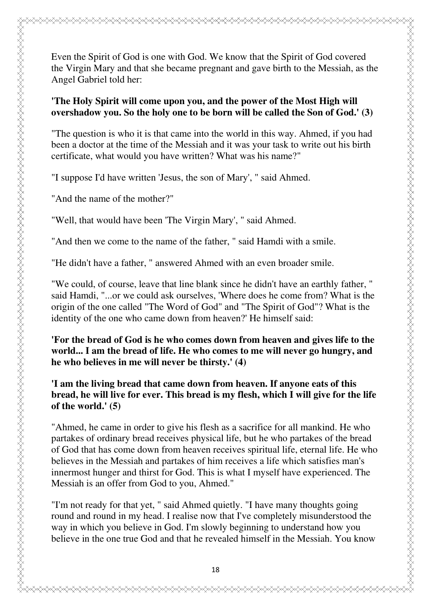#### **'The Holy Spirit will come upon you, and the power of the Most High will overshadow you. So the holy one to be born will be called the Son of God.' (3)**

"The question is who it is that came into the world in this way. Ahmed, if you had been a doctor at the time of the Messiah and it was your task to write out his birth certificate, what would you have written? What was his name?"

"I suppose I'd have written 'Jesus, the son of Mary', " said Ahmed.

"And the name of the mother?"

"Well, that would have been 'The Virgin Mary', " said Ahmed.

"And then we come to the name of the father, " said Hamdi with a smile.

"He didn't have a father, " answered Ahmed with an even broader smile.

"We could, of course, leave that line blank since he didn't have an earthly father, " said Hamdi, "...or we could ask ourselves, 'Where does he come from? What is the origin of the one called "The Word of God" and "The Spirit of God"? What is the identity of the one who came down from heaven?' He himself said:

**'For the bread of God is he who comes down from heaven and gives life to the world... I am the bread of life. He who comes to me will never go hungry, and he who believes in me will never be thirsty.' (4)**

**'I am the living bread that came down from heaven. If anyone eats of this bread, he will live for ever. This bread is my flesh, which I will give for the life of the world.' (5)**

"Ahmed, he came in order to give his flesh as a sacrifice for all mankind. He who partakes of ordinary bread receives physical life, but he who partakes of the bread of God that has come down from heaven receives spiritual life, eternal life. He who believes in the Messiah and partakes of him receives a life which satisfies man's innermost hunger and thirst for God. This is what I myself have experienced. The Messiah is an offer from God to you, Ahmed."

"I'm not ready for that yet, " said Ahmed quietly. "I have many thoughts going round and round in my head. I realise now that I've completely misunderstood the way in which you believe in God. I'm slowly beginning to understand how you believe in the one true God and that he revealed himself in the Messiah. You know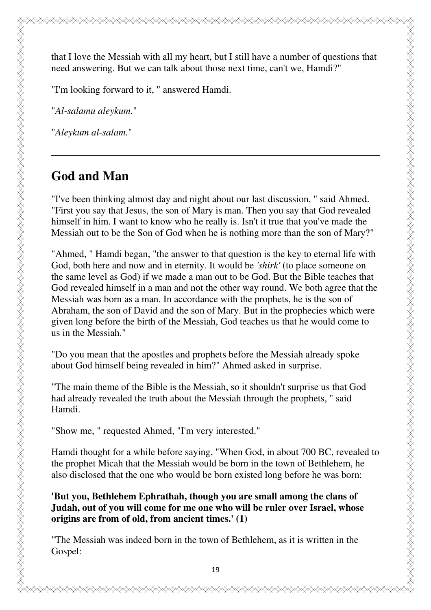that I love the Messiah with all my heart, but I still have a number of questions that need answering. But we can talk about those next time, can't we, Hamdi?"

"I'm looking forward to it, " answered Hamdi.

"*Al-salamu aleykum.*"

"*Aleykum al-salam.*"

## **God and Man**

ZAZZAN ZAZZANAN ZAZANAN ZAZANAN ZAZANAN ZAZANAN ZAZANAN ZAZANAN ZAZANAN ZAZANAN ZAZANAN ZAZANAN ZAZANAN ZAZANA

"I've been thinking almost day and night about our last discussion, " said Ahmed. "First you say that Jesus, the son of Mary is man. Then you say that God revealed himself in him. I want to know who he really is. Isn't it true that you've made the Messiah out to be the Son of God when he is nothing more than the son of Mary?"

"Ahmed, " Hamdi began, "the answer to that question is the key to eternal life with God, both here and now and in eternity. It would be *'shirk'* (to place someone on the same level as God) if we made a man out to be God. But the Bible teaches that God revealed himself in a man and not the other way round. We both agree that the Messiah was born as a man. In accordance with the prophets, he is the son of Abraham, the son of David and the son of Mary. But in the prophecies which were given long before the birth of the Messiah, God teaches us that he would come to us in the Messiah."

"Do you mean that the apostles and prophets before the Messiah already spoke about God himself being revealed in him?" Ahmed asked in surprise.

"The main theme of the Bible is the Messiah, so it shouldn't surprise us that God had already revealed the truth about the Messiah through the prophets, " said Hamdi.

"Show me, " requested Ahmed, "I'm very interested."

Hamdi thought for a while before saying, "When God, in about 700 BC, revealed to the prophet Micah that the Messiah would be born in the town of Bethlehem, he also disclosed that the one who would be born existed long before he was born:

**'But you, Bethlehem Ephrathah, though you are small among the clans of Judah, out of you will come for me one who will be ruler over Israel, whose origins are from of old, from ancient times.' (1)**

"The Messiah was indeed born in the town of Bethlehem, as it is written in the Gospel: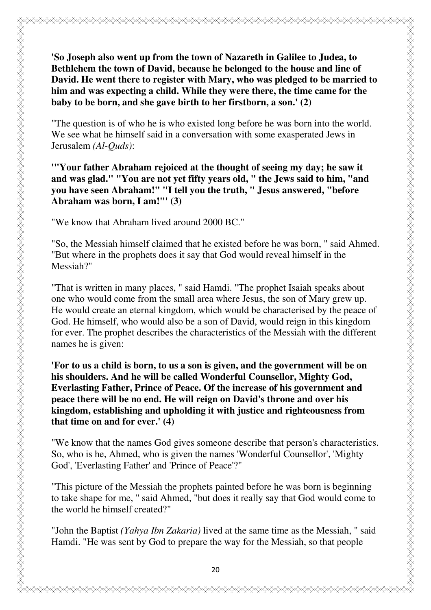**'So Joseph also went up from the town of Nazareth in Galilee to Judea, to Bethlehem the town of David, because he belonged to the house and line of David. He went there to register with Mary, who was pledged to be married to him and was expecting a child. While they were there, the time came for the baby to be born, and she gave birth to her firstborn, a son.' (2)**

"The question is of who he is who existed long before he was born into the world. We see what he himself said in a conversation with some exasperated Jews in Jerusalem *(Al-Quds)*:

**'"Your father Abraham rejoiced at the thought of seeing my day; he saw it and was glad." "You are not yet fifty years old, " the Jews said to him, "and you have seen Abraham!" "I tell you the truth, " Jesus answered, "before Abraham was born, I am!"' (3)**

"We know that Abraham lived around 2000 BC."

"So, the Messiah himself claimed that he existed before he was born, " said Ahmed. "But where in the prophets does it say that God would reveal himself in the Messiah?"

"That is written in many places, " said Hamdi. "The prophet Isaiah speaks about one who would come from the small area where Jesus, the son of Mary grew up. He would create an eternal kingdom, which would be characterised by the peace of God. He himself, who would also be a son of David, would reign in this kingdom for ever. The prophet describes the characteristics of the Messiah with the different names he is given:

**'For to us a child is born, to us a son is given, and the government will be on his shoulders. And he will be called Wonderful Counsellor, Mighty God, Everlasting Father, Prince of Peace. Of the increase of his government and peace there will be no end. He will reign on David's throne and over his kingdom, establishing and upholding it with justice and righteousness from that time on and for ever.' (4)**

"We know that the names God gives someone describe that person's characteristics. So, who is he, Ahmed, who is given the names 'Wonderful Counsellor', 'Mighty God', 'Everlasting Father' and 'Prince of Peace'?"

"This picture of the Messiah the prophets painted before he was born is beginning to take shape for me, " said Ahmed, "but does it really say that God would come to the world he himself created?"

"John the Baptist *(Yahya Ibn Zakaria)* lived at the same time as the Messiah, " said Hamdi. "He was sent by God to prepare the way for the Messiah, so that people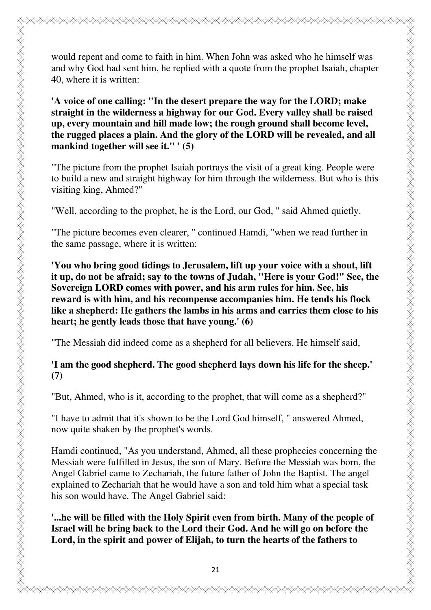would repent and come to faith in him. When John was asked who he himself was and why God had sent him, he replied with a quote from the prophet Isaiah, chapter 40, where it is written:

**'A voice of one calling: "In the desert prepare the way for the LORD; make straight in the wilderness a highway for our God. Every valley shall be raised up, every mountain and hill made low; the rough ground shall become level, the rugged places a plain. And the glory of the LORD will be revealed, and all mankind together will see it." ' (5)**

"The picture from the prophet Isaiah portrays the visit of a great king. People were to build a new and straight highway for him through the wilderness. But who is this visiting king, Ahmed?"

"Well, according to the prophet, he is the Lord, our God, " said Ahmed quietly.

"The picture becomes even clearer, " continued Hamdi, "when we read further in the same passage, where it is written:

**'You who bring good tidings to Jerusalem, lift up your voice with a shout, lift it up, do not be afraid; say to the towns of Judah, "Here is your God!" See, the Sovereign LORD comes with power, and his arm rules for him. See, his reward is with him, and his recompense accompanies him. He tends his flock like a shepherd: He gathers the lambs in his arms and carries them close to his heart; he gently leads those that have young.' (6)**

"The Messiah did indeed come as a shepherd for all believers. He himself said,

#### **'I am the good shepherd. The good shepherd lays down his life for the sheep.' (7)**

"But, Ahmed, who is it, according to the prophet, that will come as a shepherd?"

"I have to admit that it's shown to be the Lord God himself, " answered Ahmed, now quite shaken by the prophet's words.

Hamdi continued, "As you understand, Ahmed, all these prophecies concerning the Messiah were fulfilled in Jesus, the son of Mary. Before the Messiah was born, the Angel Gabriel came to Zechariah, the future father of John the Baptist. The angel explained to Zechariah that he would have a son and told him what a special task his son would have. The Angel Gabriel said:

#### **'...he will be filled with the Holy Spirit even from birth. Many of the people of Israel will he bring back to the Lord their God. And he will go on before the Lord, in the spirit and power of Elijah, to turn the hearts of the fathers to**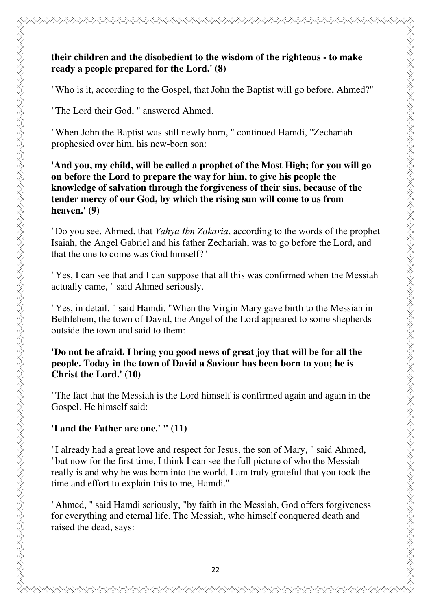### **their children and the disobedient to the wisdom of the righteous - to make ready a people prepared for the Lord.' (8)**

"Who is it, according to the Gospel, that John the Baptist will go before, Ahmed?"

"The Lord their God, " answered Ahmed.

"When John the Baptist was still newly born, " continued Hamdi, "Zechariah prophesied over him, his new-born son:

**'And you, my child, will be called a prophet of the Most High; for you will go on before the Lord to prepare the way for him, to give his people the knowledge of salvation through the forgiveness of their sins, because of the tender mercy of our God, by which the rising sun will come to us from heaven.' (9)**

"Do you see, Ahmed, that *Yahya Ibn Zakaria*, according to the words of the prophet Isaiah, the Angel Gabriel and his father Zechariah, was to go before the Lord, and that the one to come was God himself?"

"Yes, I can see that and I can suppose that all this was confirmed when the Messiah actually came, " said Ahmed seriously.

"Yes, in detail, " said Hamdi. "When the Virgin Mary gave birth to the Messiah in Bethlehem, the town of David, the Angel of the Lord appeared to some shepherds outside the town and said to them:

#### **'Do not be afraid. I bring you good news of great joy that will be for all the people. Today in the town of David a Saviour has been born to you; he is Christ the Lord.' (10)**

"The fact that the Messiah is the Lord himself is confirmed again and again in the Gospel. He himself said:

## **'I and the Father are one.' " (11)**

"I already had a great love and respect for Jesus, the son of Mary, " said Ahmed, "but now for the first time, I think I can see the full picture of who the Messiah really is and why he was born into the world. I am truly grateful that you took the time and effort to explain this to me, Hamdi."

"Ahmed, " said Hamdi seriously, "by faith in the Messiah, God offers forgiveness for everything and eternal life. The Messiah, who himself conquered death and raised the dead, says: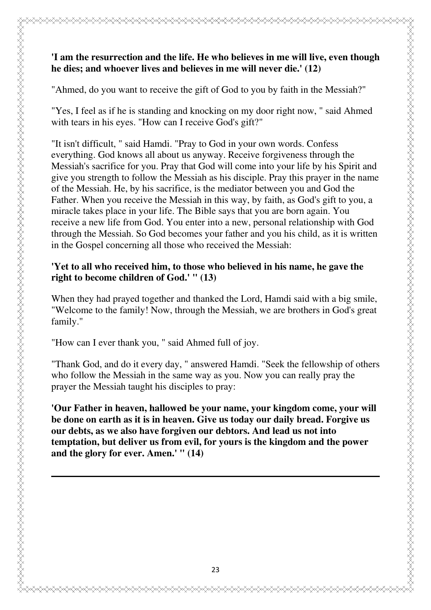### **'I am the resurrection and the life. He who believes in me will live, even though he dies; and whoever lives and believes in me will never die.' (12)**

"Ahmed, do you want to receive the gift of God to you by faith in the Messiah?"

"Yes, I feel as if he is standing and knocking on my door right now, " said Ahmed with tears in his eyes. "How can I receive God's gift?"

"It isn't difficult, " said Hamdi. "Pray to God in your own words. Confess everything. God knows all about us anyway. Receive forgiveness through the Messiah's sacrifice for you. Pray that God will come into your life by his Spirit and give you strength to follow the Messiah as his disciple. Pray this prayer in the name of the Messiah. He, by his sacrifice, is the mediator between you and God the Father. When you receive the Messiah in this way, by faith, as God's gift to you, a miracle takes place in your life. The Bible says that you are born again. You receive a new life from God. You enter into a new, personal relationship with God through the Messiah. So God becomes your father and you his child, as it is written in the Gospel concerning all those who received the Messiah:

#### **'Yet to all who received him, to those who believed in his name, he gave the right to become children of God.' " (13)**

When they had prayed together and thanked the Lord, Hamdi said with a big smile, "Welcome to the family! Now, through the Messiah, we are brothers in God's great family."

"How can I ever thank you, " said Ahmed full of joy.

"Thank God, and do it every day, " answered Hamdi. "Seek the fellowship of others who follow the Messiah in the same way as you. Now you can really pray the prayer the Messiah taught his disciples to pray:

**'Our Father in heaven, hallowed be your name, your kingdom come, your will be done on earth as it is in heaven. Give us today our daily bread. Forgive us our debts, as we also have forgiven our debtors. And lead us not into temptation, but deliver us from evil, for yours is the kingdom and the power and the glory for ever. Amen.' " (14)**